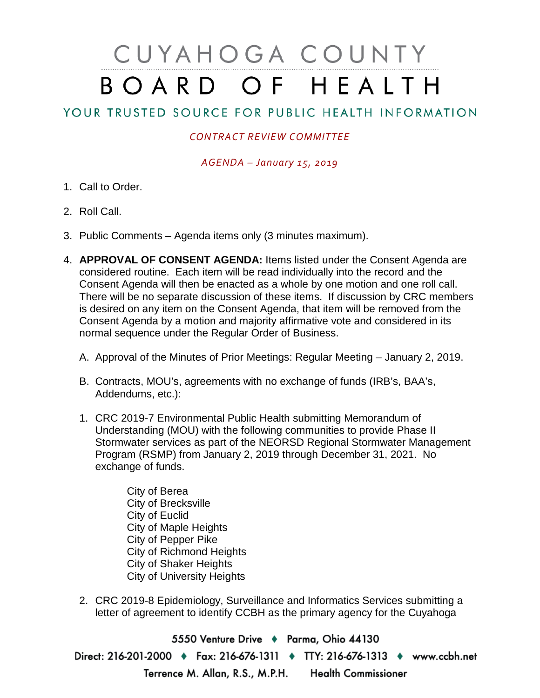## CUYAHOGA COUNTY BOARD OF HEALTH

## YOUR TRUSTED SOURCE FOR PUBLIC HEALTH INFORMATION

## *CONTRACT REVIEW COMMITTEE*

*AGENDA – January 15, 2019*

- 1. Call to Order.
- 2. Roll Call.
- 3. Public Comments Agenda items only (3 minutes maximum).
- 4. **APPROVAL OF CONSENT AGENDA:** Items listed under the Consent Agenda are considered routine. Each item will be read individually into the record and the Consent Agenda will then be enacted as a whole by one motion and one roll call. There will be no separate discussion of these items. If discussion by CRC members is desired on any item on the Consent Agenda, that item will be removed from the Consent Agenda by a motion and majority affirmative vote and considered in its normal sequence under the Regular Order of Business.
	- A. Approval of the Minutes of Prior Meetings: Regular Meeting January 2, 2019.
	- B. Contracts, MOU's, agreements with no exchange of funds (IRB's, BAA's, Addendums, etc.):
	- 1. CRC 2019-7 Environmental Public Health submitting Memorandum of Understanding (MOU) with the following communities to provide Phase II Stormwater services as part of the NEORSD Regional Stormwater Management Program (RSMP) from January 2, 2019 through December 31, 2021. No exchange of funds.
		- City of Berea City of Brecksville City of Euclid City of Maple Heights City of Pepper Pike City of Richmond Heights City of Shaker Heights City of University Heights
	- 2. CRC 2019-8 Epidemiology, Surveillance and Informatics Services submitting a letter of agreement to identify CCBH as the primary agency for the Cuyahoga

5550 Venture Drive + Parma, Ohio 44130 Direct: 216-201-2000 • Fax: 216-676-1311 • TTY: 216-676-1313 • www.ccbh.net Terrence M. Allan, R.S., M.P.H. Health Commissioner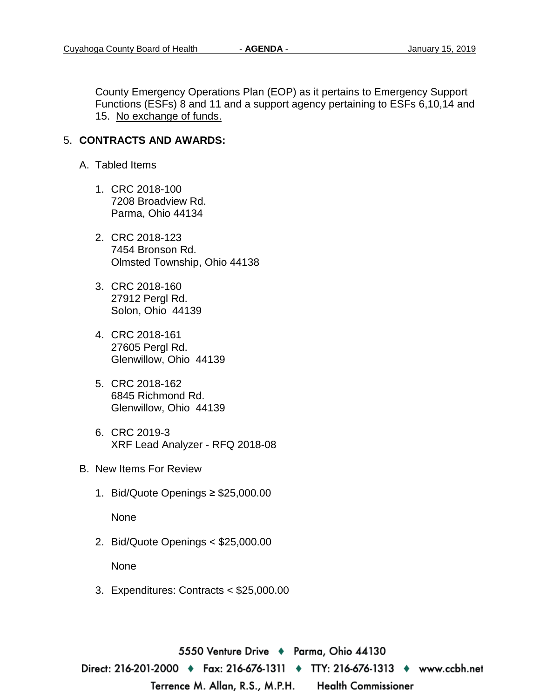County Emergency Operations Plan (EOP) as it pertains to Emergency Support Functions (ESFs) 8 and 11 and a support agency pertaining to ESFs 6,10,14 and 15. No exchange of funds.

## 5. **CONTRACTS AND AWARDS:**

- A. Tabled Items
	- 1. CRC 2018-100 7208 Broadview Rd. Parma, Ohio 44134
	- 2. CRC 2018-123 7454 Bronson Rd. Olmsted Township, Ohio 44138
	- 3. CRC 2018-160 27912 Pergl Rd. Solon, Ohio 44139
	- 4. CRC 2018-161 27605 Pergl Rd. Glenwillow, Ohio 44139
	- 5. CRC 2018-162 6845 Richmond Rd. Glenwillow, Ohio 44139
	- 6. CRC 2019-3 XRF Lead Analyzer - RFQ 2018-08
- B. New Items For Review
	- 1. Bid/Quote Openings ≥ \$25,000.00

None

2. Bid/Quote Openings < \$25,000.00

None

3. Expenditures: Contracts < \$25,000.00

5550 Venture Drive ♦ Parma, Ohio 44130 Direct: 216-201-2000 ♦ Fax: 216-676-1311 ♦ TTY: 216-676-1313 ♦ www.ccbh.net Terrence M. Allan, R.S., M.P.H. **Health Commissioner**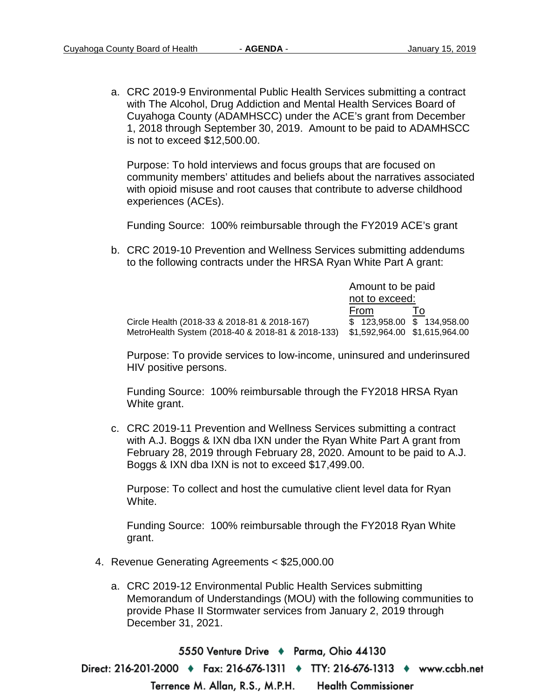a. CRC 2019-9 Environmental Public Health Services submitting a contract with The Alcohol, Drug Addiction and Mental Health Services Board of Cuyahoga County (ADAMHSCC) under the ACE's grant from December 1, 2018 through September 30, 2019. Amount to be paid to ADAMHSCC is not to exceed \$12,500.00.

Purpose: To hold interviews and focus groups that are focused on community members' attitudes and beliefs about the narratives associated with opioid misuse and root causes that contribute to adverse childhood experiences (ACEs).

Funding Source: 100% reimbursable through the FY2019 ACE's grant

b. CRC 2019-10 Prevention and Wellness Services submitting addendums to the following contracts under the HRSA Ryan White Part A grant:

|                                                   | Amount to be paid             |    |
|---------------------------------------------------|-------------------------------|----|
|                                                   | not to exceed:                |    |
|                                                   | From                          | 10 |
| Circle Health (2018-33 & 2018-81 & 2018-167)      | \$ 123,958.00 \$ 134,958.00   |    |
| MetroHealth System (2018-40 & 2018-81 & 2018-133) | \$1,592,964.00 \$1,615,964.00 |    |

Purpose: To provide services to low-income, uninsured and underinsured HIV positive persons.

Funding Source: 100% reimbursable through the FY2018 HRSA Ryan White grant.

c. CRC 2019-11 Prevention and Wellness Services submitting a contract with A.J. Boggs & IXN dba IXN under the Ryan White Part A grant from February 28, 2019 through February 28, 2020. Amount to be paid to A.J. Boggs & IXN dba IXN is not to exceed \$17,499.00.

Purpose: To collect and host the cumulative client level data for Ryan White.

Funding Source: 100% reimbursable through the FY2018 Ryan White grant.

- 4. Revenue Generating Agreements < \$25,000.00
	- a. CRC 2019-12 Environmental Public Health Services submitting Memorandum of Understandings (MOU) with the following communities to provide Phase II Stormwater services from January 2, 2019 through December 31, 2021.

5550 Venture Drive + Parma, Ohio 44130 Direct: 216-201-2000 ♦ Fax: 216-676-1311 ♦ TTY: 216-676-1313 ♦ www.ccbh.net Terrence M. Allan, R.S., M.P.H. **Health Commissioner**